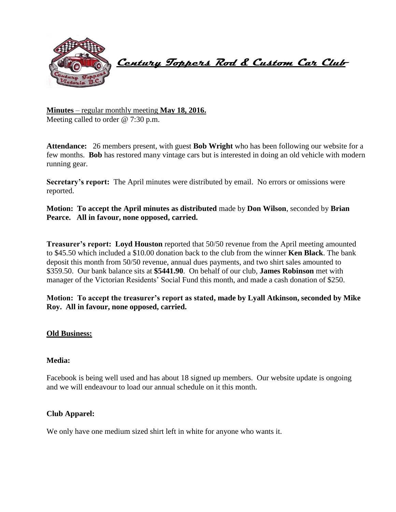

 **Century Toppers Rod & Custom Car Club** 

**Minutes** – regular monthly meeting **May 18, 2016.** Meeting called to order @ 7:30 p.m.

**Attendance:** 26 members present, with guest **Bob Wright** who has been following our website for a few months. **Bob** has restored many vintage cars but is interested in doing an old vehicle with modern running gear.

**Secretary's report:** The April minutes were distributed by email. No errors or omissions were reported.

**Motion: To accept the April minutes as distributed** made by **Don Wilson**, seconded by **Brian Pearce. All in favour, none opposed, carried.**

**Treasurer's report: Loyd Houston** reported that 50/50 revenue from the April meeting amounted to \$45.50 which included a \$10.00 donation back to the club from the winner **Ken Black**. The bank deposit this month from 50/50 revenue, annual dues payments, and two shirt sales amounted to \$359.50. Our bank balance sits at **\$5441.90**. On behalf of our club, **James Robinson** met with manager of the Victorian Residents' Social Fund this month, and made a cash donation of \$250.

**Motion: To accept the treasurer's report as stated, made by Lyall Atkinson, seconded by Mike Roy. All in favour, none opposed, carried.**

## **Old Business:**

## **Media:**

Facebook is being well used and has about 18 signed up members. Our website update is ongoing and we will endeavour to load our annual schedule on it this month.

# **Club Apparel:**

We only have one medium sized shirt left in white for anyone who wants it.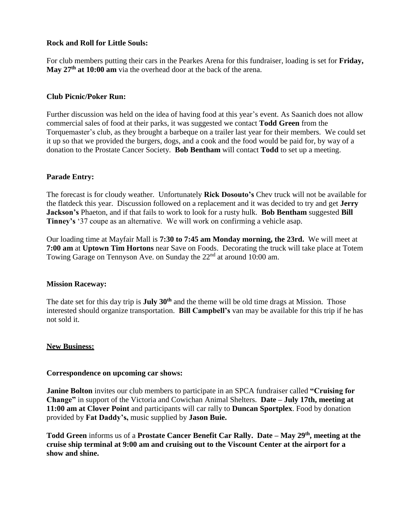# **Rock and Roll for Little Souls:**

For club members putting their cars in the Pearkes Arena for this fundraiser, loading is set for **Friday, May 27th at 10:00 am** via the overhead door at the back of the arena.

## **Club Picnic/Poker Run:**

Further discussion was held on the idea of having food at this year's event. As Saanich does not allow commercial sales of food at their parks, it was suggested we contact **Todd Green** from the Torquemaster's club, as they brought a barbeque on a trailer last year for their members. We could set it up so that we provided the burgers, dogs, and a cook and the food would be paid for, by way of a donation to the Prostate Cancer Society. **Bob Bentham** will contact **Todd** to set up a meeting.

# **Parade Entry:**

The forecast is for cloudy weather. Unfortunately **Rick Dosouto's** Chev truck will not be available for the flatdeck this year. Discussion followed on a replacement and it was decided to try and get **Jerry Jackson's** Phaeton, and if that fails to work to look for a rusty hulk. **Bob Bentham** suggested **Bill Tinney's** '37 coupe as an alternative. We will work on confirming a vehicle asap.

Our loading time at Mayfair Mall is **7:30 to 7:45 am Monday morning, the 23rd.** We will meet at **7:00 am** at **Uptown Tim Hortons** near Save on Foods. Decorating the truck will take place at Totem Towing Garage on Tennyson Ave. on Sunday the  $22<sup>nd</sup>$  at around 10:00 am.

## **Mission Raceway:**

The date set for this day trip is **July 30th** and the theme will be old time drags at Mission. Those interested should organize transportation. **Bill Campbell's** van may be available for this trip if he has not sold it.

## **New Business:**

## **Correspondence on upcoming car shows:**

**Janine Bolton** invites our club members to participate in an SPCA fundraiser called **"Cruising for Change"** in support of the Victoria and Cowichan Animal Shelters. **Date – July 17th, meeting at 11:00 am at Clover Point** and participants will car rally to **Duncan Sportplex**. Food by donation provided by **Fat Daddy's,** music supplied by **Jason Buie.**

**Todd Green** informs us of a **Prostate Cancer Benefit Car Rally. Date – May 29th, meeting at the cruise ship terminal at 9:00 am and cruising out to the Viscount Center at the airport for a show and shine.**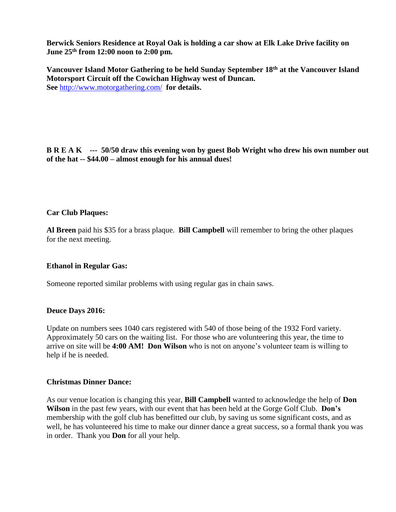**Berwick Seniors Residence at Royal Oak is holding a car show at Elk Lake Drive facility on June 25th from 12:00 noon to 2:00 pm.**

**Vancouver Island Motor Gathering to be held Sunday September 18th at the Vancouver Island Motorsport Circuit off the Cowichan Highway west of Duncan. See** <http://www.motorgathering.com/>**for details.**

**B R E A K --- 50/50 draw this evening won by guest Bob Wright who drew his own number out of the hat -- \$44.00 – almost enough for his annual dues!**

## **Car Club Plaques:**

**Al Breen** paid his \$35 for a brass plaque. **Bill Campbell** will remember to bring the other plaques for the next meeting.

#### **Ethanol in Regular Gas:**

Someone reported similar problems with using regular gas in chain saws.

#### **Deuce Days 2016:**

Update on numbers sees 1040 cars registered with 540 of those being of the 1932 Ford variety. Approximately 50 cars on the waiting list. For those who are volunteering this year, the time to arrive on site will be **4:00 AM! Don Wilson** who is not on anyone's volunteer team is willing to help if he is needed.

## **Christmas Dinner Dance:**

As our venue location is changing this year, **Bill Campbell** wanted to acknowledge the help of **Don Wilson** in the past few years, with our event that has been held at the Gorge Golf Club. **Don's**  membership with the golf club has benefitted our club, by saving us some significant costs, and as well, he has volunteered his time to make our dinner dance a great success, so a formal thank you was in order. Thank you **Don** for all your help.